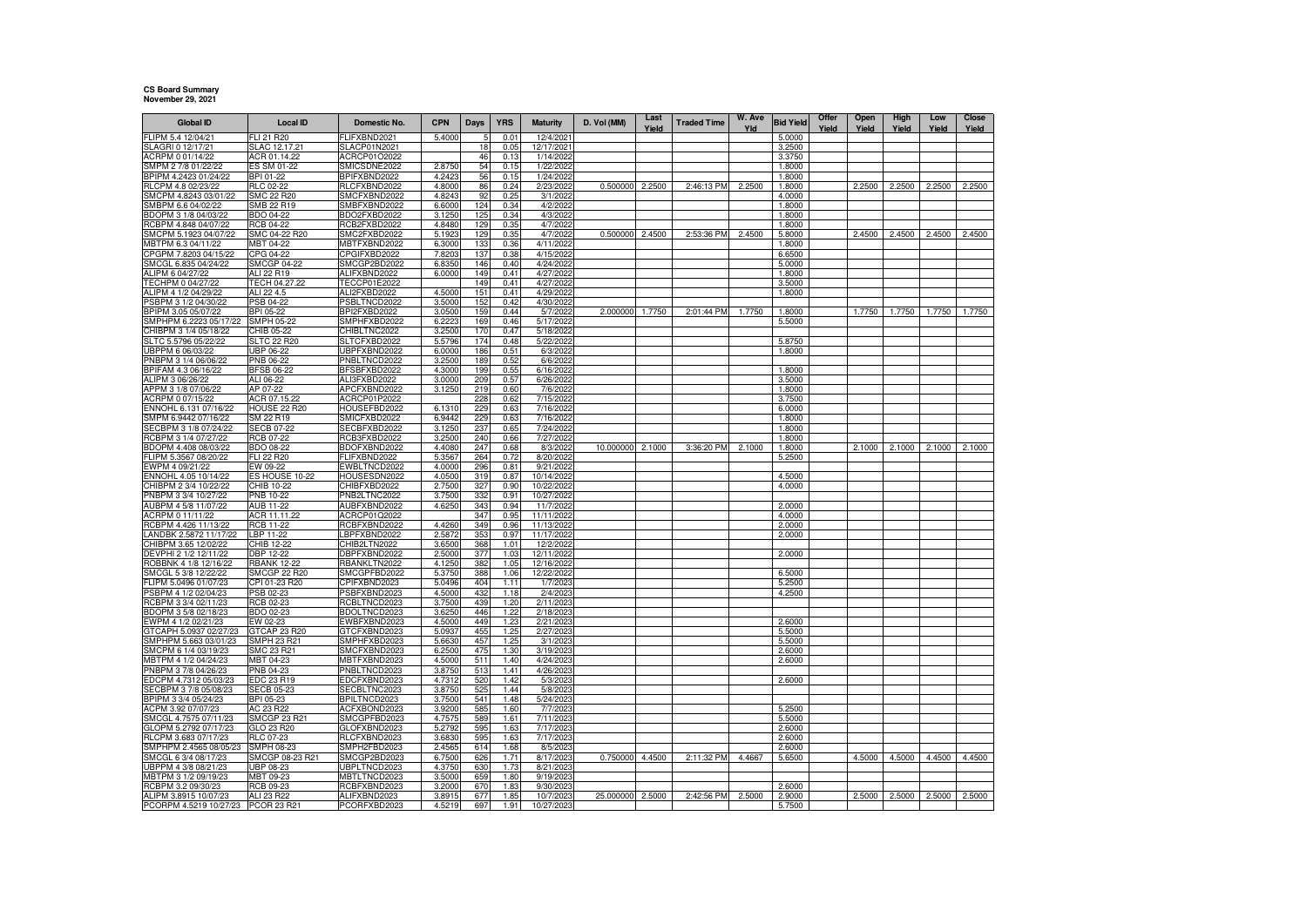## **CS Board Summary November 29, 2021**

| <b>Global ID</b>                              | <b>Local ID</b>                  | Domestic No.                        | <b>CPN</b>       | Days       | <b>YRS</b>   | <b>Maturity</b>         | D. Vol (MM)     | Last<br>Yield | <b>Traded Time</b> | W. Ave<br>Yld | <b>Bid Yield</b> | Offer<br>Yield | Open<br>Yield | High<br>Yield | Low<br>Yield | Close<br>Yield |
|-----------------------------------------------|----------------------------------|-------------------------------------|------------------|------------|--------------|-------------------------|-----------------|---------------|--------------------|---------------|------------------|----------------|---------------|---------------|--------------|----------------|
| -LIPM 5.4 12/04/21                            | ELI 21 R20                       | <b>ELIFXBND2021</b>                 | 5.4000           |            | 0.01         | 12/4/2021               |                 |               |                    |               | 5.0000           |                |               |               |              |                |
| SLAGRI 0 12/17/21                             | SLAC 12.17.21                    | SLACP01N2021                        |                  | 18         | 0.05         | 12/17/2021              |                 |               |                    |               | 3.2500           |                |               |               |              |                |
| ACRPM 0 01/14/22                              | ACR 01.14.22                     | ACRCP01O2022                        |                  | 46         | 0.13         | 1/14/202                |                 |               |                    |               | 3.3750           |                |               |               |              |                |
| SMPM 2 7/8 01/22/22                           | ES SM 01-22                      | SMICSDNE2022                        | 2.875            | 54         | 0.15         | 1/22/2022               |                 |               |                    |               | 1.8000           |                |               |               |              |                |
| BPIPM 4.2423 01/24/22                         | BPI 01-22                        | BPIFXBND2022                        | 4.242            | 56         | 0.15         | 1/24/2022               |                 |               |                    |               | 1.8000           |                |               |               |              |                |
| RLCPM 4.8 02/23/22                            | RLC 02-22                        | RLCFXBND2022                        | 4.800            | 86         | 0.24         | 2/23/2022               | 0.500000        | 2.2500        | 2:46:13 PM         | 2.2500        | 1.8000           |                | 2.2500        | 2.2500        | 2.2500       | 2.2500         |
| SMCPM 4.8243 03/01/22<br>SMBPM 6.6 04/02/22   | <b>SMC 22 R20</b>                | SMCFXBND2022                        | 4.8243           | 92         | 0.25         | 3/1/2022                |                 |               |                    |               | 4.0000           |                |               |               |              |                |
| BDOPM 3 1/8 04/03/22                          | SMB 22 R19<br><b>BDO 04-22</b>   | SMBFXBND2022<br>BDO2FXBD2022        | 6.6000<br>3.1250 | 124<br>125 | 0.34<br>0.34 | 4/2/2022<br>4/3/2022    |                 |               |                    |               | 1.8000<br>1.8000 |                |               |               |              |                |
| RCBPM 4.848 04/07/22                          | <b>RCB 04-22</b>                 | RCB2FXBD2022                        | 4.8480           | 129        | 0.35         | 4/7/2022                |                 |               |                    |               | 1.8000           |                |               |               |              |                |
| SMCPM 5.1923 04/07/22                         | SMC 04-22 R20                    | SMC2FXBD2022                        | 5.1923           | 129        | 0.35         | 4/7/2022                | 0.500000        | 2.4500        | 2:53:36 PM         | 2.4500        | 5.8000           |                | 2.4500        | 2.4500        | 2.4500       | 2.4500         |
| MBTPM 6.3 04/11/22                            | MBT 04-22                        | MBTFXBND2022                        | 6.3000           | 133        | 0.36         | 4/11/2022               |                 |               |                    |               | 1.8000           |                |               |               |              |                |
| CPGPM 7.8203 04/15/22                         | CPG 04-22                        | CPGIFXBD2022                        | 7.8203           | 13.        | 0.38         | 4/15/2022               |                 |               |                    |               | 6.6500           |                |               |               |              |                |
| SMCGL 6.835 04/24/22                          | SMCGP 04-22                      | SMCGP2BD2022                        | 6.8350           | 146        | 0.40         | 4/24/2022               |                 |               |                    |               | 5.0000           |                |               |               |              |                |
| ALIPM 6 04/27/22                              | ALI 22 R19                       | ALIFXBND2022                        | 6.0000           | 149        | 0.41         | 4/27/2022               |                 |               |                    |               | 1.8000           |                |               |               |              |                |
| TECHPM 0 04/27/22                             | TECH 04.27.22                    | TECCP01E2022                        |                  | 149        | 0.41         | 4/27/2022               |                 |               |                    |               | 3.5000           |                |               |               |              |                |
| ALIPM 4 1/2 04/29/22                          | ALI 22 4.5                       | ALI2FXBD2022                        | 4.5000           | 151        | 0.41         | 4/29/2022               |                 |               |                    |               | 1.8000           |                |               |               |              |                |
| PSBPM 3 1/2 04/30/22<br>BPIPM 3.05 05/07/22   | PSB 04-22<br>BPI 05-22           | <b>PSBLTNCD2022</b><br>BPI2FXBD2022 | 3.5000<br>3.0500 | 152<br>159 | 0.42<br>0.44 | 4/30/2022<br>5/7/2022   | 2.000000        | 1.7750        | 2:01:44 PM         | 1.7750        | 1.8000           |                | 1.7750        | 1.7750        | 1.7750       | 1.7750         |
| SMPHPM 6.2223 05/17/22                        | <b>SMPH 05-22</b>                | SMPHFXBD2022                        | 6.2223           | 169        | 0.46         | 5/17/2022               |                 |               |                    |               | 5.5000           |                |               |               |              |                |
| CHIBPM 3 1/4 05/18/22                         | CHIB 05-22                       | CHIBLTNC2022                        | 3.2500           | 170        | 0.47         | 5/18/2022               |                 |               |                    |               |                  |                |               |               |              |                |
| SLTC 5.5796 05/22/22                          | <b>SLTC 22 R20</b>               | SLTCFXBD2022                        | 5.5796           | 174        | 0.48         | 5/22/2022               |                 |               |                    |               | 5.8750           |                |               |               |              |                |
| UBPPM 6 06/03/22                              | <b>UBP 06-22</b>                 | JBPFXBND2022                        | 6.0000           | 186        | 0.51         | 6/3/2022                |                 |               |                    |               | 1.8000           |                |               |               |              |                |
| PNBPM 3 1/4 06/06/22                          | PNB 06-22                        | PNBLTNCD2022                        | 3.2500           | 189        | 0.52         | 6/6/2022                |                 |               |                    |               |                  |                |               |               |              |                |
| BPIFAM 4.3 06/16/22                           | <b>BFSB 06-22</b>                | BFSBFXBD2022                        | 4.3000           | 199        | 0.55         | 6/16/2022               |                 |               |                    |               | 1.8000           |                |               |               |              |                |
| ALIPM 3 06/26/22                              | ALI 06-22                        | ALI3FXBD2022                        | 3.0000           | 209        | 0.57         | 6/26/2022               |                 |               |                    |               | 3.5000           |                |               |               |              |                |
| APPM 3 1/8 07/06/22                           | AP 07-22                         | APCFXBND2022                        | 3.1250           | 219        | 0.60         | 7/6/2022                |                 |               |                    |               | 1.8000           |                |               |               |              |                |
| ACRPM 0 07/15/22                              | ACR 07.15.22                     | ACRCP01P2022                        |                  | 228        | 0.62         | 7/15/2022               |                 |               |                    |               | 3.7500           |                |               |               |              |                |
| ENNOHL 6.131 07/16/22<br>SMPM 6.9442 07/16/22 | <b>HOUSE 22 R20</b><br>SM 22 R19 | HOUSEFBD2022<br>SMICFXBD2022        | 6.1310<br>6.9442 | 229<br>229 | 0.63<br>0.63 | 7/16/2022<br>7/16/2022  |                 |               |                    |               | 6.0000<br>1.8000 |                |               |               |              |                |
| SECBPM 3 1/8 07/24/22                         | <b>SECB 07-22</b>                | SECBFXBD2022                        | 3.1250           | 237        | 0.65         | 7/24/2022               |                 |               |                    |               | 1.8000           |                |               |               |              |                |
| RCBPM 3 1/4 07/27/22                          | <b>RCB 07-22</b>                 | RCB3FXBD2022                        | 3.2500           | 240        | 0.66         | 7/27/2022               |                 |               |                    |               | 1.8000           |                |               |               |              |                |
| 3DOPM 4.408 08/03/22                          | <b>BDO 08-22</b>                 | 3DOFXBND2022                        | 4.4080           | 247        | 0.68         | 8/3/2022                | 10.000000       | 2.1000        | 3:36:20 PM         | 2.1000        | 1.8000           |                | 2.1000        | 2.1000        | 2.1000       | 2.1000         |
| FLIPM 5.3567 08/20/22                         | FLI 22 R20                       | FLIFXBND2022                        | 5.3567           | 264        | 0.72         | 8/20/2022               |                 |               |                    |               | 5.2500           |                |               |               |              |                |
| EWPM 4 09/21/22                               | EW 09-22                         | EWBLTNCD2022                        | 4.0000           | 296        | 0.81         | 9/21/2022               |                 |               |                    |               |                  |                |               |               |              |                |
| ENNOHL 4.05 10/14/22                          | ES HOUSE 10-22                   | HOUSESDN2022                        | 4.0500           | 319        | 0.87         | 10/14/2022              |                 |               |                    |               | 4.5000           |                |               |               |              |                |
| CHIBPM 2 3/4 10/22/22<br>PNBPM 3 3/4 10/27/22 | CHIB 10-22<br>PNB 10-22          | CHIBFXBD2022                        | 2.7500           | 32         | 0.90<br>0.91 | 10/22/2022              |                 |               |                    |               | 4.0000           |                |               |               |              |                |
| AUBPM 4 5/8 11/07/22                          | AUB 11-22                        | PNB2LTNC2022<br>AUBFXBND2022        | 3.7500<br>4.6250 | 332<br>343 | 0.94         | 10/27/2022<br>11/7/2022 |                 |               |                    |               | 2.0000           |                |               |               |              |                |
| ACRPM 0 11/11/22                              | ACR 11.11.22                     | ACRCP01Q2022                        |                  | 347        | 0.95         | 11/11/202               |                 |               |                    |               | 4.0000           |                |               |               |              |                |
| RCBPM 4.426 11/13/22                          | <b>RCB 11-22</b>                 | RCBFXBND2022                        | 4.4260           | 349        | 0.96         | 11/13/2022              |                 |               |                    |               | 2.0000           |                |               |               |              |                |
| ANDBK 2.5872 11/17/22                         | LBP 11-22                        | BPFXBND2022                         | 2.5872           | 353        | 0.97         | 11/17/2022              |                 |               |                    |               | 2.0000           |                |               |               |              |                |
| CHIBPM 3.65 12/02/22                          | CHIB 12-22                       | CHIB2LTN2022                        | 3.6500           | 368        | 1.01         | 12/2/2022               |                 |               |                    |               |                  |                |               |               |              |                |
| DEVPHI 2 1/2 12/11/22                         | DBP 12-22                        | DBPFXBND2022                        | 2.5000           | 377        | 1.03         | 12/11/2022              |                 |               |                    |               | 2.0000           |                |               |               |              |                |
| ROBBNK 4 1/8 12/16/22                         | <b>RBANK 12-22</b>               | RBANKLTN2022                        | 4.1250           | 382        | 1.05         | 12/16/2022              |                 |               |                    |               |                  |                |               |               |              |                |
| SMCGL 5 3/8 12/22/22                          | SMCGP 22 R20                     | SMCGPFBD2022                        | 5.3750           | 388        | 1.06         | 12/22/2022              |                 |               |                    |               | 6.5000           |                |               |               |              |                |
| -LIPM 5.0496 01/07/23<br>PSBPM 4 1/2 02/04/23 | CPI 01-23 R20<br>PSB 02-23       | CPIFXBND2023<br>PSBFXBND2023        | 5.0496<br>4.5000 | 404<br>432 | 1.11<br>1.18 | 1/7/202<br>2/4/2023     |                 |               |                    |               | 5.2500<br>4.2500 |                |               |               |              |                |
| RCBPM 3 3/4 02/11/23                          | <b>RCB 02-23</b>                 | RCBLTNCD2023                        | 3.7500           | 439        | 1.20         | 2/11/2023               |                 |               |                    |               |                  |                |               |               |              |                |
| BDOPM 3 5/8 02/18/23                          | BDO 02-23                        | BDOLTNCD2023                        | 3.6250           | 446        | 1.22         | 2/18/2023               |                 |               |                    |               |                  |                |               |               |              |                |
| EWPM 4 1/2 02/21/23                           | EW 02-23                         | EWBFXBND2023                        | 4.5000           | 449        | 1.23         | 2/21/2023               |                 |               |                    |               | 2.6000           |                |               |               |              |                |
| GTCAPH 5.0937 02/27/23                        | GTCAP 23 R20                     | GTCFXBND2023                        | 5.0937           | 455        | 1.25         | 2/27/2023               |                 |               |                    |               | 5.5000           |                |               |               |              |                |
| SMPHPM 5.663 03/01/23                         | SMPH 23 R21                      | SMPHFXBD2023                        | 5.6630           | 457        | 1.25         | 3/1/2023                |                 |               |                    |               | 5.5000           |                |               |               |              |                |
| SMCPM 6 1/4 03/19/23                          | SMC 23 R21                       | SMCFXBND2023                        | 6.2500           | 475        | 1.30         | 3/19/2023               |                 |               |                    |               | 2.6000           |                |               |               |              |                |
| MBTPM 4 1/2 04/24/23                          | MBT 04-23                        | MBTFXBND2023                        | 4.5000           | 511        | 1.40         | 4/24/2023               |                 |               |                    |               | 2.6000           |                |               |               |              |                |
| PNBPM 3 7/8 04/26/23<br>EDCPM 4.7312 05/03/23 | PNB 04-23<br>EDC 23 R19          | PNBLTNCD2023<br>EDCFXBND2023        | 3.8750<br>4.7312 | 513<br>520 | 1.41<br>1.42 | 4/26/2023<br>5/3/2023   |                 |               |                    |               | 2.6000           |                |               |               |              |                |
| SECBPM 3 7/8 05/08/23                         | SECB 05-23                       | SECBLTNC2023                        | 3.8750           | 525        | 1.44         | 5/8/2023                |                 |               |                    |               |                  |                |               |               |              |                |
| BPIPM 3 3/4 05/24/23                          | BPI 05-23                        | BPILTNCD2023                        | 3.7500           | 541        | 1.48         | 5/24/2023               |                 |               |                    |               |                  |                |               |               |              |                |
| ACPM 3.92 07/07/23                            | AC 23 R22                        | ACFXBOND2023                        | 3.9200           | 585        | 1.60         | 7/7/2023                |                 |               |                    |               | 5.2500           |                |               |               |              |                |
| SMCGL 4.7575 07/11/23                         | SMCGP 23 R21                     | SMCGPFBD2023                        | 4.7575           | 589        | 1.61         | 7/11/2023               |                 |               |                    |               | 5.5000           |                |               |               |              |                |
| GLOPM 5.2792 07/17/23                         | GLO 23 R20                       | GLOFXBND2023                        | 5.2792           | 595        | 1.63         | 7/17/2023               |                 |               |                    |               | 2.6000           |                |               |               |              |                |
| RLCPM 3.683 07/17/23                          | RLC 07-23                        | RLCFXBND2023                        | 3.6830           | 595        | 1.63         | 7/17/2023               |                 |               |                    |               | 2.6000           |                |               |               |              |                |
| SMPHPM 2.4565 08/05/23                        | SMPH 08-23                       | SMPH2FBD2023                        | 2.4565           | 614        | 1.68         | 8/5/2023                |                 |               |                    |               | 2.6000           |                |               |               |              |                |
| SMCGL 6 3/4 08/17/23                          | SMCGP 08-23 R21                  | SMCGP2BD2023                        | 6.7500           | 626        | 1.71         | 8/17/202                | 0.750000 4.4500 |               | 2:11:32 PM         | 4.4667        | 5.6500           |                | 4.5000        | 4.5000        | 4.4500       | 4.4500         |
| UBPPM 4 3/8 08/21/23<br>MBTPM 3 1/2 09/19/23  | UBP 08-23<br>MBT 09-23           | JBPLTNCD2023<br>MBTLTNCD2023        | 4.3750<br>3.5000 | 630<br>659 | 1.73<br>1.80 | 8/21/2023<br>9/19/2023  |                 |               |                    |               |                  |                |               |               |              |                |
| RCBPM 3.2 09/30/23                            | RCB 09-23                        | RCBFXBND2023                        | 3.2000           | 670        | 1.83         | 9/30/202                |                 |               |                    |               | 2.6000           |                |               |               |              |                |
| ALIPM 3.8915 10/07/23                         | ALI 23 R22                       | ALIFXBND2023                        | 3.8915           | 677        | 1.85         | 10/7/2023               | 25.000000       | 2.5000        | 2:42:56 PM         | 2.5000        | 2.9000           |                | 2.5000        | 2.5000        | 2.5000       | 2.5000         |
| PCORPM 4.5219 10/27/23                        | PCOR 23 R21                      | PCORFXBD2023                        | 4.5219           | 697        | 1.91         | 10/27/2023              |                 |               |                    |               | 5.7500           |                |               |               |              |                |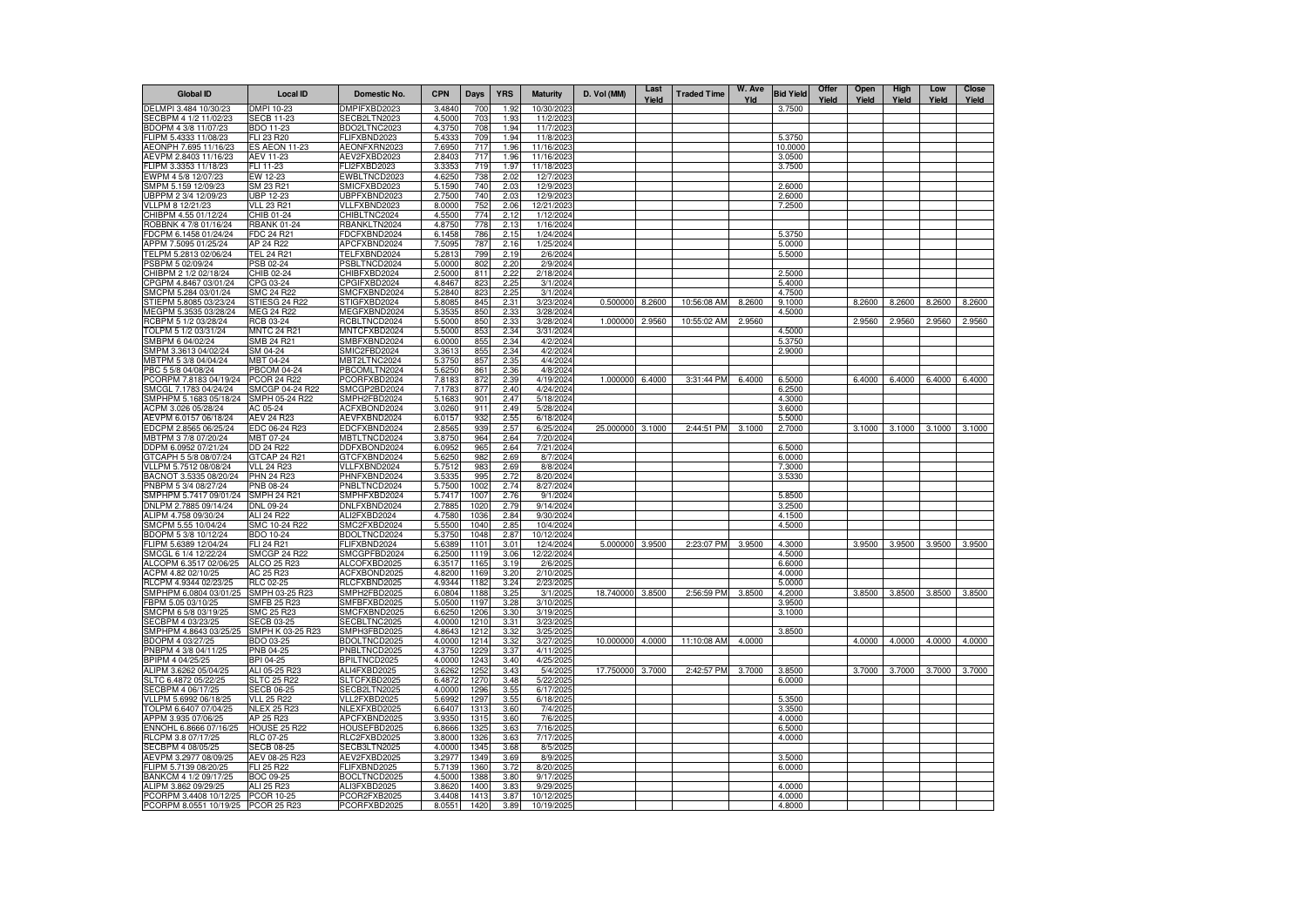| <b>Global ID</b>                                | <b>Local ID</b>                         | Domestic No.                 | <b>CPN</b>       | Days         | <b>YRS</b>   | <b>Maturity</b>         | D. Vol (MM) | Last<br>Yield | <b>Traded Time</b> | W. Ave<br>Yld | <b>Bid Yield</b>  | Offer<br>Yield | Open<br>Yield | High<br>Yield | Low<br>Yield | Close<br>Yield |
|-------------------------------------------------|-----------------------------------------|------------------------------|------------------|--------------|--------------|-------------------------|-------------|---------------|--------------------|---------------|-------------------|----------------|---------------|---------------|--------------|----------------|
| DELMPI 3.484 10/30/23                           | DMPI 10-23                              | DMPIFXBD2023                 | 3.4840           | 700          | 1.92         | 10/30/202               |             |               |                    |               | 3.7500            |                |               |               |              |                |
| SECBPM 4 1/2 11/02/23                           | <b>SECB 11-23</b>                       | SECB2LTN2023                 | 4.5000           | 703          | 1.93         | 11/2/2023               |             |               |                    |               |                   |                |               |               |              |                |
| BDOPM 4 3/8 11/07/23                            | BDO 11-23                               | BDO2LTNC2023                 | 4.3750           | 708          | 1.94         | 11/7/2023               |             |               |                    |               |                   |                |               |               |              |                |
| FLIPM 5.4333 11/08/23                           | FLI 23 R20                              | FLIFXBND2023                 | 5.4333           | 709<br>717   | 1.94<br>1.96 | 11/8/2023               |             |               |                    |               | 5.3750            |                |               |               |              |                |
| AEONPH 7.695 11/16/23<br>AEVPM 2.8403 11/16/23  | <b>ES AEON 11-23</b><br>AEV 11-23       | AEONFXRN2023<br>AEV2FXBD2023 | 7.6950<br>2.8403 | 717          | 1.96         | 11/16/2023<br>11/16/202 |             |               |                    |               | 10.0000<br>3.0500 |                |               |               |              |                |
| FLIPM 3.3353 11/18/23                           | FLI 11-23                               | FLI2FXBD2023                 | 3.3353           | 719          | 1.97         | 11/18/2023              |             |               |                    |               | 3.7500            |                |               |               |              |                |
| EWPM 4 5/8 12/07/23                             | EW 12-23                                | EWBLTNCD2023                 | 4.6250           | 738          | 2.02         | 12/7/202                |             |               |                    |               |                   |                |               |               |              |                |
| SMPM 5.159 12/09/23                             | SM 23 R21                               | SMICFXBD2023                 | 5.1590           | 740          | 2.03         | 12/9/2023               |             |               |                    |               | 2.6000            |                |               |               |              |                |
| UBPPM 2 3/4 12/09/23                            | <b>UBP 12-23</b>                        | UBPFXBND2023                 | 2.7500           | 740          | 2.03         | 12/9/2023               |             |               |                    |               | 2.6000            |                |               |               |              |                |
| VLLPM 8 12/21/23                                | <b>VLL 23 R21</b>                       | VLLFXBND2023                 | 8.0000           | 752          | 2.06         | 12/21/202               |             |               |                    |               | 7.2500            |                |               |               |              |                |
| CHIBPM 4.55 01/12/24                            | CHIB 01-24                              | CHIBLTNC2024                 | 4.5500           | 774          | 2.12         | 1/12/2024               |             |               |                    |               |                   |                |               |               |              |                |
| ROBBNK 4 7/8 01/16/24<br>FDCPM 6.1458 01/24/24  | <b>RBANK 01-24</b><br><b>FDC 24 R21</b> | RBANKLTN2024<br>FDCFXBND2024 | 4.8750<br>6.1458 | 778<br>786   | 2.13<br>2.15 | 1/16/2024<br>1/24/2024  |             |               |                    |               | 5.3750            |                |               |               |              |                |
| APPM 7.5095 01/25/24                            | AP 24 R22                               | APCFXBND2024                 | 7.5095           | 787          | 2.16         | 1/25/2024               |             |               |                    |               | 5.0000            |                |               |               |              |                |
| TELPM 5.2813 02/06/24                           | <b>TEL 24 R21</b>                       | TELFXBND2024                 | 5.2813           | 799          | 2.19         | 2/6/2024                |             |               |                    |               | 5.5000            |                |               |               |              |                |
| PSBPM 5 02/09/24                                | PSB 02-24                               | PSBLTNCD2024                 | 5.0000           | 802          | 2.20         | 2/9/2024                |             |               |                    |               |                   |                |               |               |              |                |
| CHIBPM 2 1/2 02/18/24                           | CHIB 02-24                              | CHIBFXBD2024                 | 2.5000           | 811          | 2.22         | 2/18/2024               |             |               |                    |               | 2.5000            |                |               |               |              |                |
| CPGPM 4.8467 03/01/24                           | CPG 03-24                               | CPGIFXBD2024                 | 4.8467           | 823          | 2.25         | 3/1/2024                |             |               |                    |               | 5.4000            |                |               |               |              |                |
| SMCPM 5.284 03/01/24                            | SMC 24 R22                              | SMCFXBND2024                 | 5.2840           | 823<br>845   | 2.25         | 3/1/2024                |             |               |                    | 8.2600        | 4.7500            |                |               |               |              | 8.2600         |
| STIEPM 5.8085 03/23/24<br>MEGPM 5.3535 03/28/24 | STIESG 24 R22<br>MEG 24 R22             | STIGFXBD2024<br>MEGFXBND2024 | 5.8085<br>5.3535 | 850          | 2.31<br>2.33 | 3/23/2024<br>3/28/2024  | 0.500000    | 8.2600        | 10:56:08 AM        |               | 9.1000<br>4.5000  |                | 8.2600        | 8.2600        | 8.2600       |                |
| RCBPM 5 1/2 03/28/24                            | RCB 03-24                               | RCBLTNCD2024                 | 5.5000           | 850          | 2.33         | 3/28/2024               | 1.000000    | 2.9560        | 10:55:02 AM        | 2.9560        |                   |                | 2.9560        | 2.9560        | 2.9560       | 2.9560         |
| TOLPM 5 1/2 03/31/24                            | <b>MNTC 24 R21</b>                      | MNTCFXBD2024                 | 5.5000           | 853          | 2.34         | 3/31/2024               |             |               |                    |               | 4.5000            |                |               |               |              |                |
| SMBPM 6 04/02/24                                | SMB 24 R21                              | SMBFXBND2024                 | 6.0000           | 855          | 2.34         | 4/2/2024                |             |               |                    |               | 5.3750            |                |               |               |              |                |
| SMPM 3.3613 04/02/24                            | SM 04-24                                | SMIC2FBD2024                 | 3.3613           | 855          | 2.34         | 4/2/2024                |             |               |                    |               | 2.9000            |                |               |               |              |                |
| MBTPM 5 3/8 04/04/24                            | MBT 04-24                               | MBT2LTNC2024                 | 5.3750           | 857          | 2.35         | 4/4/2024                |             |               |                    |               |                   |                |               |               |              |                |
| PBC 5 5/8 04/08/24                              | <b>PBCOM 04-24</b>                      | PBCOMLTN2024                 | 5.6250           | 861          | 2.36         | 4/8/2024                |             |               |                    | 6.4000        |                   |                |               |               |              | 6.4000         |
| PCORPM 7.8183 04/19/24<br>SMCGL 7.1783 04/24/24 | <b>PCOR 24 R22</b><br>SMCGP 04-24 R22   | PCORFXBD2024<br>SMCGP2BD2024 | 7.8183<br>7.1783 | 872<br>877   | 2.39<br>2.40 | 4/19/2024<br>4/24/2024  | 1.000000    | 6.4000        | 3:31:44 PM         |               | 6.5000<br>6.2500  |                | 6.4000        | 6.4000        | 6.4000       |                |
| SMPHPM 5.1683 05/18/24                          | SMPH 05-24 R22                          | SMPH2FBD2024                 | 5.1683           | 901          | 2.47         | 5/18/2024               |             |               |                    |               | 4.3000            |                |               |               |              |                |
| ACPM 3.026 05/28/24                             | AC 05-24                                | ACFXBOND2024                 | 3.0260           | 911          | 2.49         | 5/28/2024               |             |               |                    |               | 3.6000            |                |               |               |              |                |
| AEVPM 6.0157 06/18/24                           | <b>AEV 24 R23</b>                       | AEVFXBND2024                 | 6.0157           | 932          | 2.55         | 6/18/2024               |             |               |                    |               | 5.5000            |                |               |               |              |                |
| EDCPM 2.8565 06/25/24                           | EDC 06-24 R23                           | EDCFXBND2024                 | 2.8565           | 939          | 2.57         | 6/25/2024               | 25.000000   | 3.1000        | 2:44:51 PM         | 3.1000        | 2.7000            |                | 3.1000        | 3.1000        | 3.1000       | 3.1000         |
| MBTPM 3 7/8 07/20/24                            | MBT 07-24                               | MBTLTNCD2024                 | 3.8750           | 964          | 2.64         | 7/20/2024               |             |               |                    |               |                   |                |               |               |              |                |
| DDPM 6.0952 07/21/24                            | DD 24 R22                               | DDFXBOND2024                 | 6.0952           | 965          | 2.64         | 7/21/2024               |             |               |                    |               | 6.5000            |                |               |               |              |                |
| GTCAPH 5 5/8 08/07/24<br>VLLPM 5.7512 08/08/24  | GTCAP 24 R21<br><b>VLL 24 R23</b>       | GTCFXBND2024<br>VLLFXBND2024 | 5.6250<br>5.7512 | 982<br>983   | 2.69<br>2.69 | 8/7/2024<br>8/8/2024    |             |               |                    |               | 6.0000<br>7.3000  |                |               |               |              |                |
| BACNOT 3.5335 08/20/24                          | <b>PHN 24 R23</b>                       | PHNFXBND2024                 | 3.5335           | 995          | 2.72         | 8/20/2024               |             |               |                    |               | 3.5330            |                |               |               |              |                |
| PNBPM 5 3/4 08/27/24                            | PNB 08-24                               | PNBLTNCD2024                 | 5.7500           | 1002         | 2.74         | 8/27/2024               |             |               |                    |               |                   |                |               |               |              |                |
| SMPHPM 5.7417 09/01/24                          | <b>SMPH 24 R21</b>                      | SMPHFXBD2024                 | 5.7417           | 1007         | 2.76         | 9/1/2024                |             |               |                    |               | 5.8500            |                |               |               |              |                |
| DNLPM 2.7885 09/14/24                           | DNL 09-24                               | DNLFXBND2024                 | 2.7885           | 1020         | 2.79         | 9/14/2024               |             |               |                    |               | 3.2500            |                |               |               |              |                |
| ALIPM 4.758 09/30/24                            | ALI 24 R22                              | ALI2FXBD2024                 | 4.7580           | 1036         | 2.84         | 9/30/2024               |             |               |                    |               | 4.1500            |                |               |               |              |                |
| SMCPM 5.55 10/04/24                             | SMC 10-24 R22                           | SMC2FXBD2024                 | 5.5500           | 1040         | 2.85         | 10/4/2024               |             |               |                    |               | 4.5000            |                |               |               |              |                |
| BDOPM 5 3/8 10/12/24<br>FLIPM 5.6389 12/04/24   | <b>BDO 10-24</b><br>FLI 24 R21          | BDOLTNCD2024<br>FLIFXBND2024 | 5.3750<br>5.6389 | 1048<br>1101 | 2.87<br>3.01 | 10/12/2024<br>12/4/2024 | 5.000000    | 3.9500        | 2:23:07 PM         | 3.9500        | 4.3000            |                |               | 3.9500 3.9500 | 3.9500       | 3.9500         |
| SMCGL 6 1/4 12/22/24                            | <b>SMCGP 24 R22</b>                     | SMCGPFBD2024                 | 6.2500           | 1119         | 3.06         | 12/22/2024              |             |               |                    |               | 4.5000            |                |               |               |              |                |
| ALCOPM 6.3517 02/06/25                          | ALCO 25 R23                             | ALCOFXBD2025                 | 6.3517           | 1165         | 3.19         | 2/6/2025                |             |               |                    |               | 6.6000            |                |               |               |              |                |
| ACPM 4.82 02/10/25                              | AC 25 R23                               | ACFXBOND2025                 | 4.8200           | 1169         | 3.20         | 2/10/2025               |             |               |                    |               | 4.0000            |                |               |               |              |                |
| RLCPM 4.9344 02/23/25                           | <b>RLC 02-25</b>                        | RLCFXBND2025                 | 4.9344           | 1182         | 3.24         | 2/23/202                |             |               |                    |               | 5.0000            |                |               |               |              |                |
| SMPHPM 6.0804 03/01/25                          | SMPH 03-25 R23                          | SMPH2FBD2025                 | 6.0804           | 1188         | 3.25         | 3/1/202                 | 18.740000   | 3.8500        | 2:56:59 PM         | 3.8500        | 4.2000            |                | 3.8500        | 3.8500        | 3.8500       | 3.8500         |
| FBPM 5.05 03/10/25                              | SMFB 25 R23                             | SMFBFXBD2025                 | 5.0500           | 1197         | 3.28         | 3/10/2025               |             |               |                    |               | 3.9500            |                |               |               |              |                |
| SMCPM 6 5/8 03/19/25<br>SECBPM 4 03/23/25       | <b>SMC 25 R23</b><br><b>SECB 03-25</b>  | SMCFXBND202<br>SECBLTNC2025  | 6.6250<br>4.0000 | 1206<br>1210 | 3.30<br>3.31 | 3/19/202<br>3/23/2025   |             |               |                    |               | 3.1000            |                |               |               |              |                |
| SMPHPM 4.8643 03/25/25                          | SMPH K 03-25 R23                        | SMPH3FBD2025                 | 4.8643           | 1212         | 3.32         | 3/25/2025               |             |               |                    |               | 3.8500            |                |               |               |              |                |
| BDOPM 4 03/27/25                                | BDO 03-25                               | BDOLTNCD2025                 | 4.0000           | 1214         | 3.32         | 3/27/2025               | 10.000000   | 4.0000        | 11:10:08 AM        | 4.0000        |                   |                | 4.0000        | 4.0000        | 4.0000       | 4.0000         |
| PNBPM 4 3/8 04/11/25                            | PNB 04-25                               | PNBLTNCD2025                 | 4.3750           | 1229         | 3.37         | 4/11/2025               |             |               |                    |               |                   |                |               |               |              |                |
| BPIPM 4 04/25/25                                | BPI 04-25                               | BPILTNCD2025                 | 4.0000           | 1243         | 3.40         | 4/25/2025               |             |               |                    |               |                   |                |               |               |              |                |
| ALIPM 3.6262 05/04/25                           | ALI 05-25 R23                           | ALI4FXBD2025                 | 3.6262           | 1252         | 3.43         | 5/4/2025                | 17.750000   | 3.7000        | 2:42:57 PM         | 3.7000        | 3.8500            |                | 3.7000        | 3.7000        | 3.7000       | 3.7000         |
| SLTC 6.4872 05/22/25                            | <b>SLTC 25 R22</b>                      | SLTCFXBD2025                 | 6.4872           | 1270<br>1296 | 3.48<br>3.55 | 5/22/2025<br>6/17/2025  |             |               |                    |               | 6.0000            |                |               |               |              |                |
| SECBPM 4 06/17/25<br>VLLPM 5.6992 06/18/25      | <b>SECB 06-25</b><br><b>VLL 25 R22</b>  | SECB2LTN2025<br>VLL2FXBD2025 | 4.0000<br>5.6992 | 1297         | 3.55         | 6/18/2025               |             |               |                    |               | 5.3500            |                |               |               |              |                |
| TOLPM 6.6407 07/04/25                           | <b>NLEX 25 R23</b>                      | NLEXFXBD2025                 | 6.6407           | 1313         | 3.60         | 7/4/2025                |             |               |                    |               | 3.3500            |                |               |               |              |                |
| APPM 3.935 07/06/25                             | AP 25 R23                               | APCFXBND2025                 | 3.9350           | 1315         | 3.60         | 7/6/2025                |             |               |                    |               | 4.0000            |                |               |               |              |                |
| ENNOHL 6.8666 07/16/25                          | <b>HOUSE 25 R22</b>                     | HOUSEFBD2025                 | 6.8666           | 1325         | 3.63         | 7/16/2025               |             |               |                    |               | 6.5000            |                |               |               |              |                |
| RLCPM 3.8 07/17/25                              | RLC 07-25                               | RLC2FXBD2025                 | 3.8000           | 1326         | 3.63         | 7/17/2025               |             |               |                    |               | 4.0000            |                |               |               |              |                |
| SECBPM 4 08/05/25                               | <b>SECB 08-25</b>                       | SECB3LTN2025                 | 4.0000           | 1345         | 3.68         | 8/5/2025                |             |               |                    |               |                   |                |               |               |              |                |
| AEVPM 3.2977 08/09/25<br>FLIPM 5.7139 08/20/25  | AEV 08-25 R23<br>FLI 25 R22             | AEV2FXBD2025<br>FLIFXBND2025 | 3.2977           | 1349<br>1360 | 3.69<br>3.72 | 8/9/2025<br>8/20/2025   |             |               |                    |               | 3.5000<br>6.0000  |                |               |               |              |                |
| BANKCM 4 1/2 09/17/25                           | <b>BOC 09-25</b>                        | BOCLTNCD2025                 | 5.7139<br>4.5000 | 1388         | 3.80         | 9/17/2025               |             |               |                    |               |                   |                |               |               |              |                |
| ALIPM 3.862 09/29/25                            | ALI 25 R23                              | ALI3FXBD2025                 | 3.8620           | 1400         | 3.83         | 9/29/2025               |             |               |                    |               | 4.0000            |                |               |               |              |                |
| PCORPM 3.4408 10/12/25 PCOR 10-25               |                                         | PCOR2FXB2025                 | 3.4408           | 1413         | 3.87         | 10/12/2025              |             |               |                    |               | 4.0000            |                |               |               |              |                |
| PCORPM 8.0551 10/19/25 PCOR 25 R23              |                                         | PCORFXBD2025                 | 8.0551           | 1420         | 3.89         | 10/19/2025              |             |               |                    |               | 4.8000            |                |               |               |              |                |